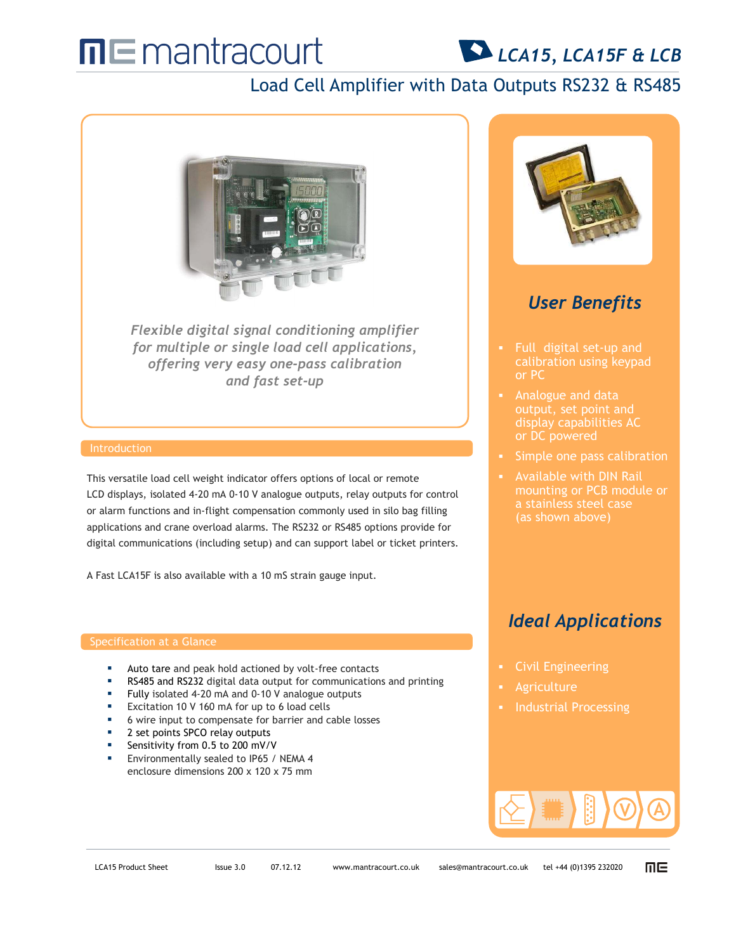# $\Pi \sqsubseteq$  mantracourt

## *LCA15, LCA15F & LCB*

## Load Cell Amplifier with Data Outputs RS232 & RS485



*Flexible digital signal conditioning amplifier for multiple or single load cell applications, offering very easy one-pass calibration and fast set-up*

### Introduction

This versatile load cell weight indicator offers options of local or remote LCD displays, isolated 4-20 mA 0-10 V analogue outputs, relay outputs for control or alarm functions and in-flight compensation commonly used in silo bag filling applications and crane overload alarms. The RS232 or RS485 options provide for digital communications (including setup) and can support label or ticket printers.

A Fast LCA15F is also available with a 10 mS strain gauge input.

### Specification at a Glance

- Auto tare and peak hold actioned by volt-free contacts
- RS485 and RS232 digital data output for communications and printing
- Fully isolated 4-20 mA and 0-10 V analogue outputs
- Excitation 10 V 160 mA for up to 6 load cells
- 6 wire input to compensate for barrier and cable losses
- 2 set points SPCO relay outputs
- Sensitivity from 0.5 to 200 mV/V
- Environmentally sealed to IP65 / NEMA 4 enclosure dimensions 200 x 120 x 75 mm



## *User Benefits*

- Full digital set-up and calibration using keypad
- Analogue and data display capabilities AC
- Simple one pass calibration
- Available with DIN Rail mounting or PCB module or a stainless steel case

### *Ideal Applications*

- Civil Engineering
- Agriculture
- 



而且